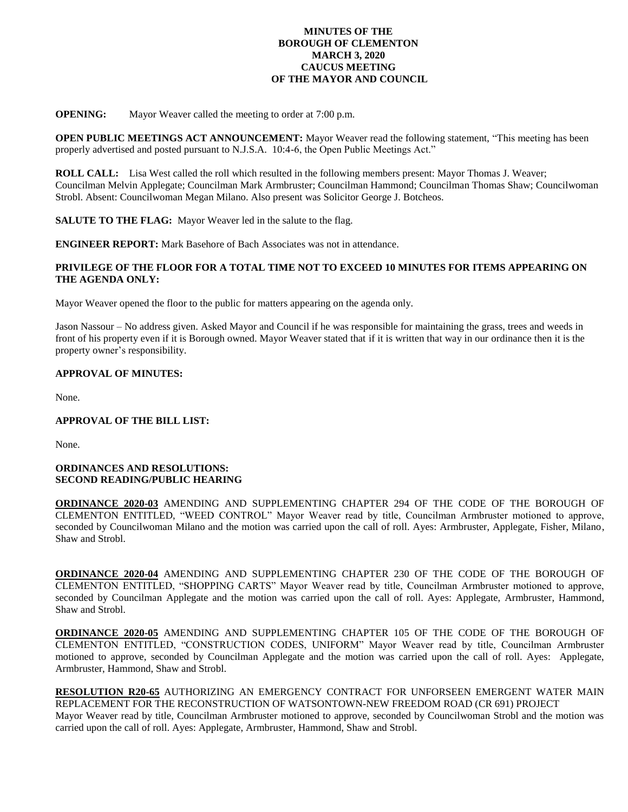### **MINUTES OF THE BOROUGH OF CLEMENTON MARCH 3, 2020 CAUCUS MEETING OF THE MAYOR AND COUNCIL**

**OPENING:** Mayor Weaver called the meeting to order at 7:00 p.m.

**OPEN PUBLIC MEETINGS ACT ANNOUNCEMENT:** Mayor Weaver read the following statement, "This meeting has been properly advertised and posted pursuant to N.J.S.A. 10:4-6, the Open Public Meetings Act."

**ROLL CALL:** Lisa West called the roll which resulted in the following members present: Mayor Thomas J. Weaver; Councilman Melvin Applegate; Councilman Mark Armbruster; Councilman Hammond; Councilman Thomas Shaw; Councilwoman Strobl. Absent: Councilwoman Megan Milano. Also present was Solicitor George J. Botcheos.

**SALUTE TO THE FLAG:** Mayor Weaver led in the salute to the flag.

**ENGINEER REPORT:** Mark Basehore of Bach Associates was not in attendance.

# **PRIVILEGE OF THE FLOOR FOR A TOTAL TIME NOT TO EXCEED 10 MINUTES FOR ITEMS APPEARING ON THE AGENDA ONLY:**

Mayor Weaver opened the floor to the public for matters appearing on the agenda only.

Jason Nassour – No address given. Asked Mayor and Council if he was responsible for maintaining the grass, trees and weeds in front of his property even if it is Borough owned. Mayor Weaver stated that if it is written that way in our ordinance then it is the property owner's responsibility.

### **APPROVAL OF MINUTES:**

None.

# **APPROVAL OF THE BILL LIST:**

None.

### **ORDINANCES AND RESOLUTIONS: SECOND READING/PUBLIC HEARING**

**ORDINANCE 2020-03** AMENDING AND SUPPLEMENTING CHAPTER 294 OF THE CODE OF THE BOROUGH OF CLEMENTON ENTITLED, "WEED CONTROL" Mayor Weaver read by title, Councilman Armbruster motioned to approve, seconded by Councilwoman Milano and the motion was carried upon the call of roll. Ayes: Armbruster, Applegate, Fisher, Milano, Shaw and Strobl.

**ORDINANCE 2020-04** AMENDING AND SUPPLEMENTING CHAPTER 230 OF THE CODE OF THE BOROUGH OF CLEMENTON ENTITLED, "SHOPPING CARTS" Mayor Weaver read by title, Councilman Armbruster motioned to approve, seconded by Councilman Applegate and the motion was carried upon the call of roll. Ayes: Applegate, Armbruster, Hammond, Shaw and Strobl.

**ORDINANCE 2020-05** AMENDING AND SUPPLEMENTING CHAPTER 105 OF THE CODE OF THE BOROUGH OF CLEMENTON ENTITLED, "CONSTRUCTION CODES, UNIFORM" Mayor Weaver read by title, Councilman Armbruster motioned to approve, seconded by Councilman Applegate and the motion was carried upon the call of roll. Ayes: Applegate, Armbruster, Hammond, Shaw and Strobl.

**RESOLUTION R20-65** AUTHORIZING AN EMERGENCY CONTRACT FOR UNFORSEEN EMERGENT WATER MAIN REPLACEMENT FOR THE RECONSTRUCTION OF WATSONTOWN-NEW FREEDOM ROAD (CR 691) PROJECT Mayor Weaver read by title, Councilman Armbruster motioned to approve, seconded by Councilwoman Strobl and the motion was carried upon the call of roll. Ayes: Applegate, Armbruster, Hammond, Shaw and Strobl.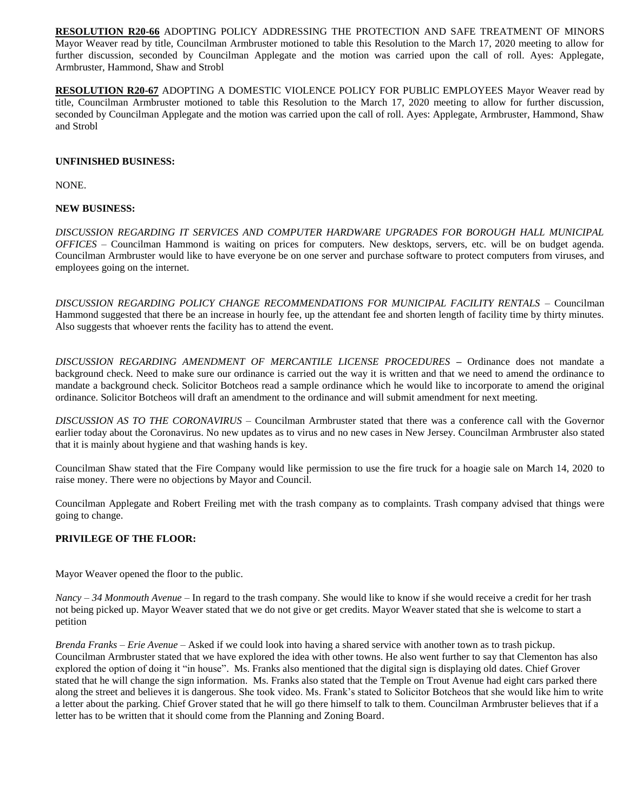**RESOLUTION R20-66** ADOPTING POLICY ADDRESSING THE PROTECTION AND SAFE TREATMENT OF MINORS Mayor Weaver read by title, Councilman Armbruster motioned to table this Resolution to the March 17, 2020 meeting to allow for further discussion, seconded by Councilman Applegate and the motion was carried upon the call of roll. Ayes: Applegate, Armbruster, Hammond, Shaw and Strobl

**RESOLUTION R20-67** ADOPTING A DOMESTIC VIOLENCE POLICY FOR PUBLIC EMPLOYEES Mayor Weaver read by title, Councilman Armbruster motioned to table this Resolution to the March 17, 2020 meeting to allow for further discussion, seconded by Councilman Applegate and the motion was carried upon the call of roll. Ayes: Applegate, Armbruster, Hammond, Shaw and Strobl

### **UNFINISHED BUSINESS:**

NONE.

# **NEW BUSINESS:**

*DISCUSSION REGARDING IT SERVICES AND COMPUTER HARDWARE UPGRADES FOR BOROUGH HALL MUNICIPAL OFFICES* – Councilman Hammond is waiting on prices for computers. New desktops, servers, etc. will be on budget agenda. Councilman Armbruster would like to have everyone be on one server and purchase software to protect computers from viruses, and employees going on the internet.

*DISCUSSION REGARDING POLICY CHANGE RECOMMENDATIONS FOR MUNICIPAL FACILITY RENTALS* – Councilman Hammond suggested that there be an increase in hourly fee, up the attendant fee and shorten length of facility time by thirty minutes. Also suggests that whoever rents the facility has to attend the event.

*DISCUSSION REGARDING AMENDMENT OF MERCANTILE LICENSE PROCEDURES* **–** Ordinance does not mandate a background check. Need to make sure our ordinance is carried out the way it is written and that we need to amend the ordinance to mandate a background check. Solicitor Botcheos read a sample ordinance which he would like to incorporate to amend the original ordinance. Solicitor Botcheos will draft an amendment to the ordinance and will submit amendment for next meeting.

*DISCUSSION AS TO THE CORONAVIRUS* – Councilman Armbruster stated that there was a conference call with the Governor earlier today about the Coronavirus. No new updates as to virus and no new cases in New Jersey. Councilman Armbruster also stated that it is mainly about hygiene and that washing hands is key.

Councilman Shaw stated that the Fire Company would like permission to use the fire truck for a hoagie sale on March 14, 2020 to raise money. There were no objections by Mayor and Council.

Councilman Applegate and Robert Freiling met with the trash company as to complaints. Trash company advised that things were going to change.

# **PRIVILEGE OF THE FLOOR:**

Mayor Weaver opened the floor to the public.

*Nancy – 34 Monmouth Avenue* – In regard to the trash company. She would like to know if she would receive a credit for her trash not being picked up. Mayor Weaver stated that we do not give or get credits. Mayor Weaver stated that she is welcome to start a petition

*Brenda Franks – Erie Avenue* – Asked if we could look into having a shared service with another town as to trash pickup. Councilman Armbruster stated that we have explored the idea with other towns. He also went further to say that Clementon has also explored the option of doing it "in house". Ms. Franks also mentioned that the digital sign is displaying old dates. Chief Grover stated that he will change the sign information. Ms. Franks also stated that the Temple on Trout Avenue had eight cars parked there along the street and believes it is dangerous. She took video. Ms. Frank's stated to Solicitor Botcheos that she would like him to write a letter about the parking. Chief Grover stated that he will go there himself to talk to them. Councilman Armbruster believes that if a letter has to be written that it should come from the Planning and Zoning Board.